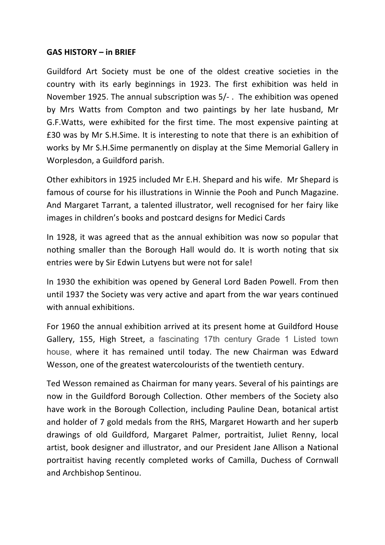## **GAS HISTORY – in BRIEF**

Guildford Art Society must be one of the oldest creative societies in the country with its early beginnings in 1923. The first exhibition was held in November 1925. The annual subscription was  $5/-$ . The exhibition was opened by Mrs Watts from Compton and two paintings by her late husband, Mr G.F. Watts, were exhibited for the first time. The most expensive painting at £30 was by Mr S.H.Sime. It is interesting to note that there is an exhibition of works by Mr S.H.Sime permanently on display at the Sime Memorial Gallery in Worplesdon, a Guildford parish.

Other exhibitors in 1925 included Mr E.H. Shepard and his wife. Mr Shepard is famous of course for his illustrations in Winnie the Pooh and Punch Magazine. And Margaret Tarrant, a talented illustrator, well recognised for her fairy like images in children's books and postcard designs for Medici Cards

In 1928, it was agreed that as the annual exhibition was now so popular that nothing smaller than the Borough Hall would do. It is worth noting that six entries were by Sir Edwin Lutyens but were not for sale!

In 1930 the exhibition was opened by General Lord Baden Powell. From then until 1937 the Society was very active and apart from the war years continued with annual exhibitions.

For 1960 the annual exhibition arrived at its present home at Guildford House Gallery, 155, High Street, a fascinating 17th century Grade 1 Listed town house, where it has remained until today. The new Chairman was Edward Wesson, one of the greatest watercolourists of the twentieth century.

Ted Wesson remained as Chairman for many years. Several of his paintings are now in the Guildford Borough Collection. Other members of the Society also have work in the Borough Collection, including Pauline Dean, botanical artist and holder of 7 gold medals from the RHS, Margaret Howarth and her superb drawings of old Guildford, Margaret Palmer, portraitist, Juliet Renny, local artist, book designer and illustrator, and our President Jane Allison a National portraitist having recently completed works of Camilla, Duchess of Cornwall and Archbishop Sentinou.